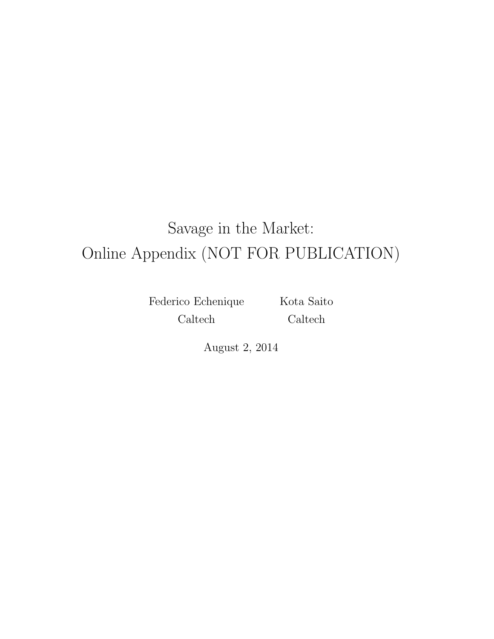# Savage in the Market: Online Appendix (NOT FOR PUBLICATION)

Federico Echenique Caltech

Kota Saito Caltech

August 2, 2014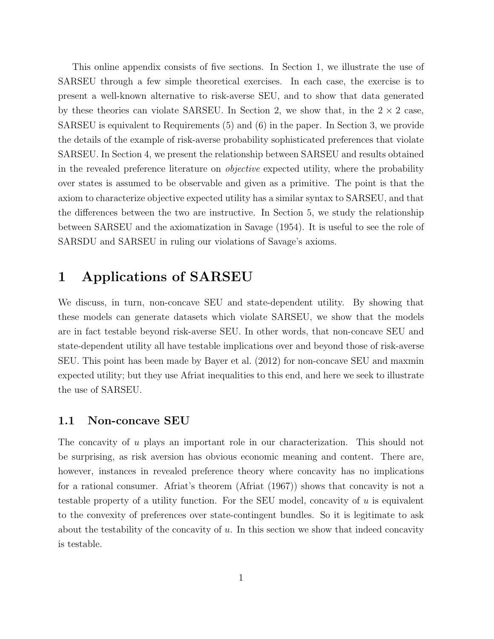This online appendix consists of five sections. In Section 1, we illustrate the use of SARSEU through a few simple theoretical exercises. In each case, the exercise is to present a well-known alternative to risk-averse SEU, and to show that data generated by these theories can violate SARSEU. In Section 2, we show that, in the  $2 \times 2$  case, SARSEU is equivalent to Requirements (5) and (6) in the paper. In Section 3, we provide the details of the example of risk-averse probability sophisticated preferences that violate SARSEU. In Section 4, we present the relationship between SARSEU and results obtained in the revealed preference literature on objective expected utility, where the probability over states is assumed to be observable and given as a primitive. The point is that the axiom to characterize objective expected utility has a similar syntax to SARSEU, and that the differences between the two are instructive. In Section 5, we study the relationship between SARSEU and the axiomatization in Savage (1954). It is useful to see the role of SARSDU and SARSEU in ruling our violations of Savage's axioms.

# 1 Applications of SARSEU

We discuss, in turn, non-concave SEU and state-dependent utility. By showing that these models can generate datasets which violate SARSEU, we show that the models are in fact testable beyond risk-averse SEU. In other words, that non-concave SEU and state-dependent utility all have testable implications over and beyond those of risk-averse SEU. This point has been made by Bayer et al. (2012) for non-concave SEU and maxmin expected utility; but they use Afriat inequalities to this end, and here we seek to illustrate the use of SARSEU.

#### 1.1 Non-concave SEU

The concavity of u plays an important role in our characterization. This should not be surprising, as risk aversion has obvious economic meaning and content. There are, however, instances in revealed preference theory where concavity has no implications for a rational consumer. Afriat's theorem (Afriat (1967)) shows that concavity is not a testable property of a utility function. For the SEU model, concavity of  $u$  is equivalent to the convexity of preferences over state-contingent bundles. So it is legitimate to ask about the testability of the concavity of  $u$ . In this section we show that indeed concavity is testable.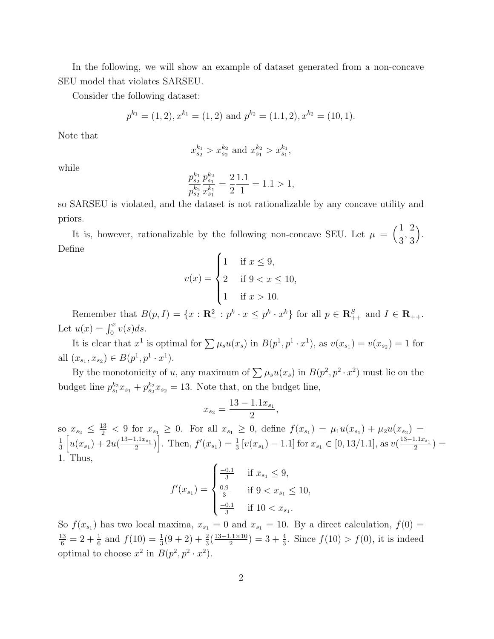In the following, we will show an example of dataset generated from a non-concave SEU model that violates SARSEU.

Consider the following dataset:

$$
p^{k_1} = (1, 2), x^{k_1} = (1, 2)
$$
 and  $p^{k_2} = (1.1, 2), x^{k_2} = (10, 1).$ 

Note that

$$
x_{s_2}^{k_1} > x_{s_2}^{k_2}
$$
 and  $x_{s_1}^{k_2} > x_{s_1}^{k_1}$ ,

while

$$
\frac{p_{s_2}^{k_1}}{p_{s_2}^{k_2}} \frac{p_{s_1}^{k_2}}{x_{s_1}^{k_1}} = \frac{2}{2} \frac{1.1}{1} = 1.1 > 1,
$$

so SARSEU is violated, and the dataset is not rationalizable by any concave utility and priors.

It is, however, rationalizable by the following non-concave SEU. Let  $\mu = \left(\frac{1}{2}\right)$ 3 , 2 3 . Define

$$
v(x) = \begin{cases} 1 & \text{if } x \le 9, \\ 2 & \text{if } 9 < x \le 10, \\ 1 & \text{if } x > 10. \end{cases}
$$

Remember that  $B(p, I) = \{x : \mathbb{R}^2_+ : p^k \cdot x \leq p^k \cdot x^k\}$  for all  $p \in \mathbb{R}^S_{++}$  and  $I \in \mathbb{R}_{++}$ . Let  $u(x) = \int_0^x v(s) ds$ .

It is clear that  $x^1$  is optimal for  $\sum \mu_s u(x_s)$  in  $B(p^1, p^1 \cdot x^1)$ , as  $v(x_{s_1}) = v(x_{s_2}) = 1$  for all  $(x_{s_1}, x_{s_2}) \in B(p^1, p^1 \cdot x^1)$ .

By the monotonicity of u, any maximum of  $\sum \mu_s u(x_s)$  in  $B(p^2, p^2 \cdot x^2)$  must lie on the budget line  $p_{s_1}^{k_2} x_{s_1} + p_{s_2}^{k_2} x_{s_2} = 13$ . Note that, on the budget line,

$$
x_{s_2} = \frac{13 - 1.1x_{s_1}}{2},
$$

 $\text{so}_{z_2} \leq \frac{13}{2}$  < 9 for  $x_{s_1} \geq 0$ . For all  $x_{s_1} \geq 0$ , define  $f(x_{s_1}) = \mu_1 u(x_{s_1}) + \mu_2 u(x_{s_2}) =$ 1  $\frac{1}{3}\left[u(x_{s_1})+2u(\frac{13-1.1x_{s_1}}{2}\right]$  $\left[\frac{1.1x_{s_1}}{2}\right]$ . Then,  $f'(x_{s_1}) = \frac{1}{3} \left[v(x_{s_1}) - 1.1\right]$  for  $x_{s_1} \in [0, 13/1.1]$ , as  $v(\frac{13 - 1.1x_{s_1}}{2})$  $\frac{a_{11}x_{s_1}}{2}\big) =$ 1. Thus,

$$
f'(x_{s_1}) = \begin{cases} \frac{-0.1}{3} & \text{if } x_{s_1} \le 9, \\ \frac{0.9}{3} & \text{if } 9 < x_{s_1} \le 10, \\ \frac{-0.1}{3} & \text{if } 10 < x_{s_1}. \end{cases}
$$

So  $f(x_{s_1})$  has two local maxima,  $x_{s_1} = 0$  and  $x_{s_1} = 10$ . By a direct calculation,  $f(0) =$  $\frac{13}{6}$  = 2 +  $\frac{1}{6}$  and  $f(10) = \frac{1}{3}(9+2) + \frac{2}{3}(\frac{13-1.1\times10}{2})$  $\frac{2.1 \times 10}{2}$  = 3 +  $\frac{4}{3}$ . Since  $f(10) > f(0)$ , it is indeed optimal to choose  $x^2$  in  $B(p^2, p^2 \cdot x^2)$ .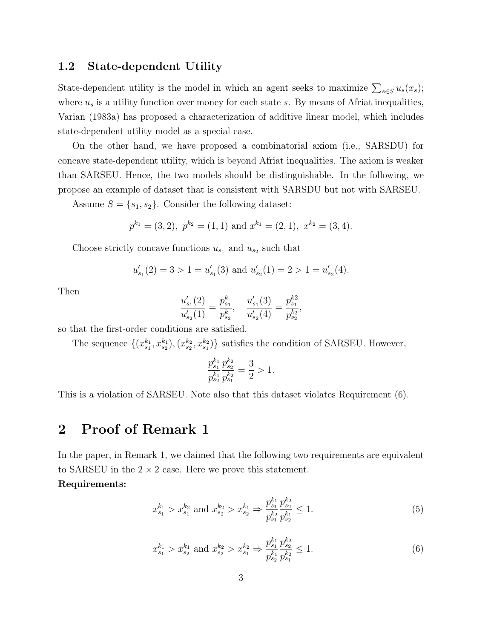#### 1.2 State-dependent Utility

State-dependent utility is the model in which an agent seeks to maximize  $\sum_{s\in S} u_s(x_s)$ ; where  $u_s$  is a utility function over money for each state s. By means of Africat inequalities, Varian (1983a) has proposed a characterization of additive linear model, which includes state-dependent utility model as a special case.

On the other hand, we have proposed a combinatorial axiom (i.e., SARSDU) for concave state-dependent utility, which is beyond Afriat inequalities. The axiom is weaker than SARSEU. Hence, the two models should be distinguishable. In the following, we propose an example of dataset that is consistent with SARSDU but not with SARSEU.

Assume  $S = \{s_1, s_2\}$ . Consider the following dataset:

$$
p^{k_1} = (3, 2), p^{k_2} = (1, 1)
$$
 and  $x^{k_1} = (2, 1), x^{k_2} = (3, 4).$ 

Choose strictly concave functions  $u_{s_1}$  and  $u_{s_2}$  such that

$$
u'_{s_1}(2) = 3 > 1 = u'_{s_1}(3)
$$
 and  $u'_{s_2}(1) = 2 > 1 = u'_{s_2}(4)$ .

Then

$$
\frac{u'_{s_1}(2)}{u'_{s_2}(1)} = \frac{p^k_{s_1}}{p^k_{s_2}}, \quad \frac{u'_{s_1}(3)}{u'_{s_2}(4)} = \frac{p^{k2}_{s_1}}{p^{k_2}_{s_2}},
$$

so that the first-order conditions are satisfied.

The sequence  $\{(x_{s_1}^{k_1}, x_{s_2}^{k_1}), (x_{s_2}^{k_2}, x_{s_1}^{k_2})\}$  satisfies the condition of SARSEU. However,

$$
\frac{p_{s_1}^{k_1} p_{s_2}^{k_2}}{p_{s_2}^{k_1} p_{s_1}^{k_2}} = \frac{3}{2} > 1.
$$

This is a violation of SARSEU. Note also that this dataset violates Requirement (6).

# 2 Proof of Remark 1

In the paper, in Remark 1, we claimed that the following two requirements are equivalent to SARSEU in the  $2 \times 2$  case. Here we prove this statement.

#### Requirements:

$$
x_{s_1}^{k_1} > x_{s_1}^{k_2} \text{ and } x_{s_2}^{k_2} > x_{s_2}^{k_1} \Rightarrow \frac{p_{s_1}^{k_1} p_{s_2}^{k_2}}{p_{s_1}^{k_2} p_{s_2}^{k_1}} \le 1. \tag{5}
$$

$$
x_{s_1}^{k_1} > x_{s_2}^{k_1} \text{ and } x_{s_2}^{k_2} > x_{s_1}^{k_2} \Rightarrow \frac{p_{s_1}^{k_1} p_{s_2}^{k_2}}{p_{s_2}^{k_1} p_{s_1}^{k_2}} \le 1. \tag{6}
$$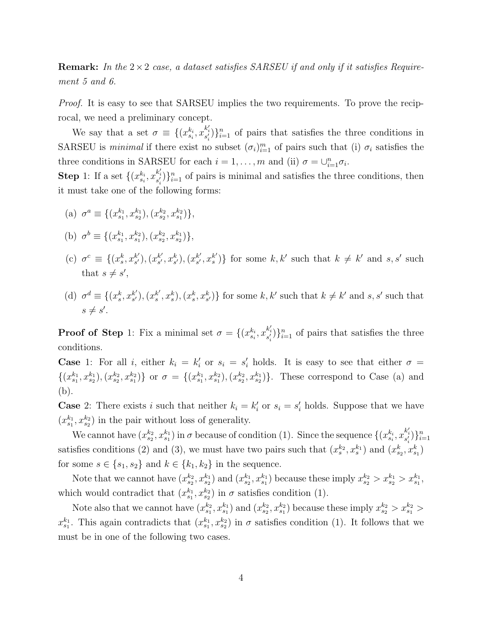**Remark:** In the  $2 \times 2$  case, a dataset satisfies SARSEU if and only if it satisfies Requirement 5 and 6.

Proof. It is easy to see that SARSEU implies the two requirements. To prove the reciprocal, we need a preliminary concept.

We say that a set  $\sigma \equiv \{(x_{s_i}^{k_i}, x_{s'_i}^{k'_i})\}_{i=1}^n$  of pairs that satisfies the three conditions in SARSEU is *minimal* if there exist no subset  $(\sigma_i)_{i=1}^m$  of pairs such that (i)  $\sigma_i$  satisfies the three conditions in SARSEU for each  $i = 1, ..., m$  and (ii)  $\sigma = \bigcup_{i=1}^{n} \sigma_i$ .

**Step** 1: If a set  $\{(x_{s_i}^{k_i}, x_{s'_i}^{k'_i})\}_{i=1}^n$  of pairs is minimal and satisfies the three conditions, then it must take one of the following forms:

(a)  $\sigma^a \equiv \{(x_{s_1}^{k_1}, x_{s_2}^{k_1}), (x_{s_2}^{k_2}, x_{s_1}^{k_2})\},\$ 

(b) 
$$
\sigma^b \equiv \{(x_{s_1}^{k_1}, x_{s_1}^{k_2}), (x_{s_2}^{k_2}, x_{s_2}^{k_1})\},\,
$$

- (c)  $\sigma^c \equiv \{(x_s^k, x_{s'}^{k'}\)$  $s'$ ),  $(x_{s'}^{k'})$  $_{s'}^{k'}, x_{s'}^{k}), (x_{s'}^{k'}$  $s', x_s^{k'}$  $s'$ )} for some  $k, k'$  such that  $k \neq k'$  and  $s, s'$  such that  $s \neq s'$ ,
- (d)  $\sigma^d \equiv \{(x_s^k, x_{s'}^{k'}\)$  $s'$ ),  $(x_s^{k'}$  $s<sup>k'</sup>, x<sup>k</sup><sub>s</sub>, (x<sup>k</sup><sub>s</sub>, x<sup>k</sup><sub>s'</sub>)\}$  for some  $k, k'$  such that  $k \neq k'$  and  $s, s'$  such that  $s \neq s'.$

**Proof of Step** 1: Fix a minimal set  $\sigma = \{(x_{s_i}^{k_i}, x_{s'_i}^{k'_i})\}_{i=1}^n$  of pairs that satisfies the three conditions.

**Case** 1: For all i, either  $k_i = k'_i$  or  $s_i = s'_i$  holds. It is easy to see that either  $\sigma =$  $\{(x_{s_1}^{k_1}, x_{s_2}^{k_1}), (x_{s_2}^{k_2}, x_{s_1}^{k_2})\}\$  or  $\sigma = \{(x_{s_1}^{k_1}, x_{s_1}^{k_2}), (x_{s_2}^{k_2}, x_{s_2}^{k_1})\}\.$  These correspond to Case (a) and (b).

**Case** 2: There exists i such that neither  $k_i = k'_i$  or  $s_i = s'_i$  holds. Suppose that we have  $(x_{s_1}^{k_1}, x_{s_2}^{k_2})$  in the pair without loss of generality.

We cannot have  $(x_{s_2}^{k_2}, x_{s_1}^{k_1})$  in  $\sigma$  because of condition (1). Since the sequence  $\{(x_{s_i}^{k_i}, x_{s'_i}^{k'_i})\}_{i=1}^n$ satisfies conditions (2) and (3), we must have two pairs such that  $(x_s^{k_2}, x_s^{k_1})$  and  $(x_{s_2}^k, x_{s_1}^k)$ for some  $s \in \{s_1, s_2\}$  and  $k \in \{k_1, k_2\}$  in the sequence.

Note that we cannot have  $(x_{s_2}^{k_2}, x_{s_2}^{k_1})$  and  $(x_{s_2}^{k_1}, x_{s_1}^{k_1})$  because these imply  $x_{s_2}^{k_2} > x_{s_2}^{k_1} > x_{s_1}^{k_1}$ , which would contradict that  $(x_{s_1}^{k_1}, x_{s_2}^{k_2})$  in  $\sigma$  satisfies condition (1).

Note also that we cannot have  $(x_{s_1}^{k_2}, x_{s_1}^{k_1})$  and  $(x_{s_2}^{k_2}, x_{s_1}^{k_2})$  because these imply  $x_{s_2}^{k_2} > x_{s_1}^{k_2} >$  $x_{s_1}^{k_1}$ . This again contradicts that  $(x_{s_1}^{k_1}, x_{s_2}^{k_2})$  in  $\sigma$  satisfies condition (1). It follows that we must be in one of the following two cases.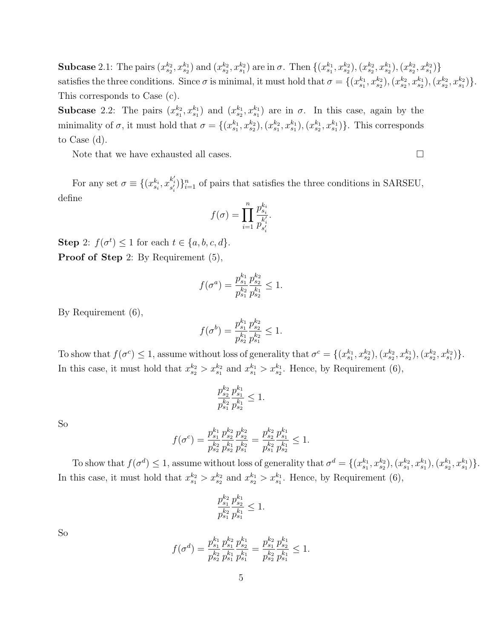Subcase 2.1: The pairs  $(x_{s_2}^{k_2}, x_{s_2}^{k_1})$  and  $(x_{s_2}^{k_2}, x_{s_1}^{k_2})$  are in  $\sigma$ . Then  $\{(x_{s_1}^{k_1}, x_{s_2}^{k_2}), (x_{s_2}^{k_2}, x_{s_1}^{k_1}), (x_{s_2}^{k_2}, x_{s_1}^{k_2})\}$ satisfies the three conditions. Since  $\sigma$  is minimal, it must hold that  $\sigma = \{(x_{s_1}^{k_1}, x_{s_2}^{k_2}), (x_{s_2}^{k_2}, x_{s_2}^{k_1}), (x_{s_2}^{k_2}, x_{s_1}^{k_2})\}$ . This corresponds to Case (c).

**Subcase** 2.2: The pairs  $(x_{s_1}^{k_2}, x_{s_1}^{k_1})$  and  $(x_{s_2}^{k_1}, x_{s_1}^{k_1})$  are in  $\sigma$ . In this case, again by the minimality of  $\sigma$ , it must hold that  $\sigma = \{(x_{s_1}^{k_1}, x_{s_2}^{k_2}), (x_{s_1}^{k_2}, x_{s_1}^{k_1}), (x_{s_2}^{k_1}, x_{s_1}^{k_1})\}$ . This corresponds to Case (d).

Note that we have exhausted all cases.  $\Box$ 

For any set  $\sigma \equiv \{(x_{s_i}^{k_i}, x_{s'_i}^{k'_i})\}_{i=1}^n$  of pairs that satisfies the three conditions in SARSEU, define

$$
f(\sigma) = \prod_{i=1}^{n} \frac{p_{s_i}^{k_i}}{p_{s'_i}^{k'_i}}.
$$

Step 2:  $f(\sigma^t) \leq 1$  for each  $t \in \{a, b, c, d\}.$ Proof of Step 2: By Requirement (5),

$$
f(\sigma^a) = \frac{p_{s_1}^{k_1}}{p_{s_1}^{k_2}} \frac{p_{s_2}^{k_2}}{p_{s_2}^{k_1}} \le 1.
$$

By Requirement (6),

$$
f(\sigma^b) = \frac{p_{s_1}^{k_1} p_{s_2}^{k_2}}{p_{s_2}^{k_1} p_{s_1}^{k_2}} \le 1.
$$

To show that  $f(\sigma^c) \leq 1$ , assume without loss of generality that  $\sigma^c = \{(x_{s_1}^{k_1}, x_{s_2}^{k_2}), (x_{s_2}^{k_2}, x_{s_2}^{k_1}), (x_{s_2}^{k_2}, x_{s_1}^{k_2})\}$ . In this case, it must hold that  $x_{s_2}^{k_2} > x_{s_1}^{k_2}$  and  $x_{s_1}^{k_1} > x_{s_2}^{k_1}$ . Hence, by Requirement (6),

$$
\frac{p_{s_2}^{k_2}}{p_{s_1}^{k_2}} \frac{p_{s_1}^{k_1}}{p_{s_2}^{k_1}} \leq 1.
$$

So

$$
f(\sigma^c) = \frac{p_{s_1}^{k_1} p_{s_2}^{k_2} p_{s_2}^{k_2}}{p_{s_2}^{k_2} p_{s_2}^{k_1} p_{s_1}^{k_2}} = \frac{p_{s_2}^{k_2} p_{s_1}^{k_1}}{p_{s_1}^{k_2} p_{s_2}^{k_1}} \le 1.
$$

To show that  $f(\sigma^d) \leq 1$ , assume without loss of generality that  $\sigma^d = \{(x_{s_1}^{k_1}, x_{s_2}^{k_2}), (x_{s_1}^{k_2}, x_{s_1}^{k_1}), (x_{s_2}^{k_1}, x_{s_1}^{k_1})\}$ . In this case, it must hold that  $x_{s_1}^{k_2} > x_{s_2}^{k_2}$  and  $x_{s_2}^{k_1} > x_{s_1}^{k_1}$ . Hence, by Requirement (6),

$$
\frac{p_{s_1}^{k_2}}{p_{s_1}^{k_2}} \frac{p_{s_2}^{k_1}}{p_{s_1}^{k_1}} \leq 1.
$$

So

$$
f(\sigma^d) = \frac{p_{s_1}^{k_1}}{p_{s_2}^{k_2}} \frac{p_{s_1}^{k_2}}{p_{s_1}^{k_1}} \frac{p_{s_2}^{k_1}}{p_{s_1}^{k_1}} = \frac{p_{s_1}^{k_2}}{p_{s_2}^{k_2}} \frac{p_{s_2}^{k_1}}{p_{s_1}^{k_1}} \le 1.
$$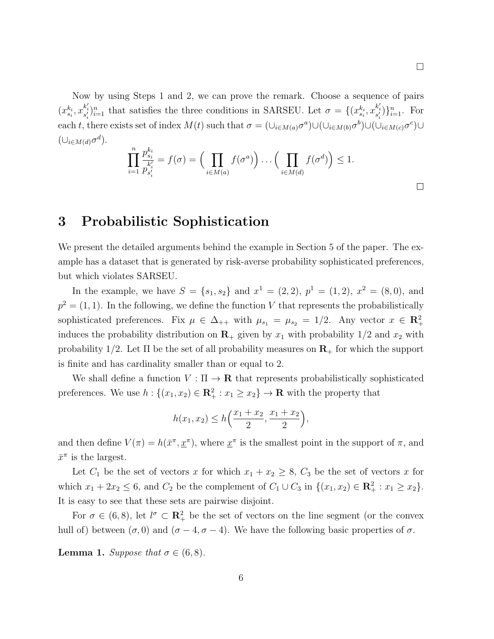Now by using Steps 1 and 2, we can prove the remark. Choose a sequence of pairs  $(x_{s_i}^{k_i}, x_{s'_i}^{k'_i})_{i=1}^n$  that satisfies the three conditions in SARSEU. Let  $\sigma = \{(x_{s_i}^{k_i}, x_{s'_i}^{k'_i})\}_{i=1}^n$ . For each t, there exists set of index  $M(t)$  such that  $\sigma = (\cup_{i \in M(a)} \sigma^a) \cup (\cup_{i \in M(b)} \sigma^b) \cup (\cup_{i \in M(c)} \sigma^c) \cup$  $(\cup_{i\in M(d)} \sigma^d).$ 

$$
\prod_{i=1}^n \frac{p_{s_i}^{k_i}}{p_{s'_i}^{k'_i}} = f(\sigma) = \Big(\prod_{i \in M(a)} f(\sigma^a)\Big) \dots \Big(\prod_{i \in M(d)} f(\sigma^d)\Big) \le 1.
$$

### 3 Probabilistic Sophistication

We present the detailed arguments behind the example in Section 5 of the paper. The example has a dataset that is generated by risk-averse probability sophisticated preferences, but which violates SARSEU.

In the example, we have  $S = \{s_1, s_2\}$  and  $x^1 = (2, 2), p^1 = (1, 2), x^2 = (8, 0),$  and  $p^2 = (1, 1)$ . In the following, we define the function V that represents the probabilistically sophisticated preferences. Fix  $\mu \in \Delta_{++}$  with  $\mu_{s_1} = \mu_{s_2} = 1/2$ . Any vector  $x \in \mathbb{R}^2_+$ induces the probability distribution on  $\mathbf{R}_+$  given by  $x_1$  with probability  $1/2$  and  $x_2$  with probability  $1/2$ . Let  $\Pi$  be the set of all probability measures on  $\mathbf{R}_{+}$  for which the support is finite and has cardinality smaller than or equal to 2.

We shall define a function  $V : \Pi \to \mathbf{R}$  that represents probabilistically sophisticated preferences. We use  $h: \{(x_1, x_2) \in \mathbb{R}_+^2 : x_1 \geq x_2\} \to \mathbb{R}$  with the property that

$$
h(x_1, x_2) \le h\left(\frac{x_1 + x_2}{2}, \frac{x_1 + x_2}{2}\right),
$$

and then define  $V(\pi) = h(\bar{x}^{\pi}, \underline{x}^{\pi})$ , where  $\underline{x}^{\pi}$  is the smallest point in the support of  $\pi$ , and  $\bar{x}^{\pi}$  is the largest.

Let  $C_1$  be the set of vectors x for which  $x_1 + x_2 \ge 8$ ,  $C_3$  be the set of vectors x for which  $x_1 + 2x_2 \le 6$ , and  $C_2$  be the complement of  $C_1 \cup C_3$  in  $\{(x_1, x_2) \in \mathbb{R}_+^2 : x_1 \ge x_2\}$ . It is easy to see that these sets are pairwise disjoint.

For  $\sigma \in (6,8)$ , let  $l^{\sigma} \subset \mathbb{R}^2_+$  be the set of vectors on the line segment (or the convex hull of) between  $(\sigma, 0)$  and  $(\sigma - 4, \sigma - 4)$ . We have the following basic properties of  $\sigma$ .

**Lemma 1.** Suppose that  $\sigma \in (6, 8)$ .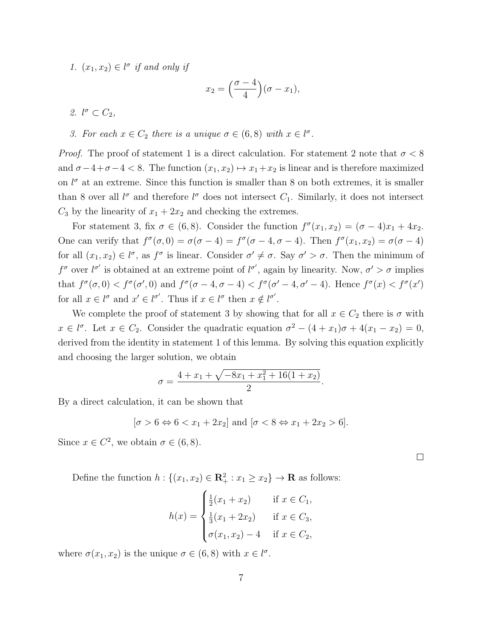1.  $(x_1, x_2) \in l^{\sigma}$  if and only if

$$
x_2 = \left(\frac{\sigma - 4}{4}\right)(\sigma - x_1),
$$

2.  $l^{\sigma} \subset C_2$ ,

3. For each  $x \in C_2$  there is a unique  $\sigma \in (6,8)$  with  $x \in l^{\sigma}$ .

*Proof.* The proof of statement 1 is a direct calculation. For statement 2 note that  $\sigma < 8$ and  $\sigma-4+\sigma-4 < 8$ . The function  $(x_1, x_2) \mapsto x_1+x_2$  is linear and is therefore maximized on  $l^{\sigma}$  at an extreme. Since this function is smaller than 8 on both extremes, it is smaller than 8 over all  $l^{\sigma}$  and therefore  $l^{\sigma}$  does not intersect  $C_1$ . Similarly, it does not intersect  $C_3$  by the linearity of  $x_1 + 2x_2$  and checking the extremes.

For statement 3, fix  $\sigma \in (6,8)$ . Consider the function  $f^{\sigma}(x_1, x_2) = (\sigma - 4)x_1 + 4x_2$ . One can verify that  $f^{\sigma}(\sigma, 0) = \sigma(\sigma - 4) = f^{\sigma}(\sigma - 4, \sigma - 4)$ . Then  $f^{\sigma}(x_1, x_2) = \sigma(\sigma - 4)$ for all  $(x_1, x_2) \in l^{\sigma}$ , as  $f^{\sigma}$  is linear. Consider  $\sigma' \neq \sigma$ . Say  $\sigma' > \sigma$ . Then the minimum of  $f^{\sigma}$  over  $l^{\sigma'}$  is obtained at an extreme point of  $l^{\sigma'}$ , again by linearity. Now,  $\sigma' > \sigma$  implies that  $f^{\sigma}(\sigma, 0) < f^{\sigma}(\sigma', 0)$  and  $f^{\sigma}(\sigma - 4, \sigma - 4) < f^{\sigma}(\sigma' - 4, \sigma' - 4)$ . Hence  $f^{\sigma}(x) < f^{\sigma}(x')$ for all  $x \in l^{\sigma}$  and  $x' \in l^{\sigma'}$ . Thus if  $x \in l^{\sigma}$  then  $x \notin l^{\sigma'}$ .

We complete the proof of statement 3 by showing that for all  $x \in C_2$  there is  $\sigma$  with  $x \in l^{\sigma}$ . Let  $x \in C_2$ . Consider the quadratic equation  $\sigma^2 - (4 + x_1)\sigma + 4(x_1 - x_2) = 0$ , derived from the identity in statement 1 of this lemma. By solving this equation explicitly and choosing the larger solution, we obtain

$$
\sigma = \frac{4 + x_1 + \sqrt{-8x_1 + x_1^2 + 16(1 + x_2)}}{2}.
$$

By a direct calculation, it can be shown that

$$
[\sigma > 6 \Leftrightarrow 6 < x_1 + 2x_2]
$$
 and  $[\sigma < 8 \Leftrightarrow x_1 + 2x_2 > 6]$ .

 $\Box$ 

Since  $x \in C^2$ , we obtain  $\sigma \in (6, 8)$ .

Define the function  $h: \{(x_1, x_2) \in \mathbb{R}_+^2 : x_1 \ge x_2\} \to \mathbb{R}$  as follows:

$$
h(x) = \begin{cases} \frac{1}{2}(x_1 + x_2) & \text{if } x \in C_1, \\ \frac{1}{3}(x_1 + 2x_2) & \text{if } x \in C_3, \\ \sigma(x_1, x_2) - 4 & \text{if } x \in C_2, \end{cases}
$$

where  $\sigma(x_1, x_2)$  is the unique  $\sigma \in (6, 8)$  with  $x \in l^{\sigma}$ .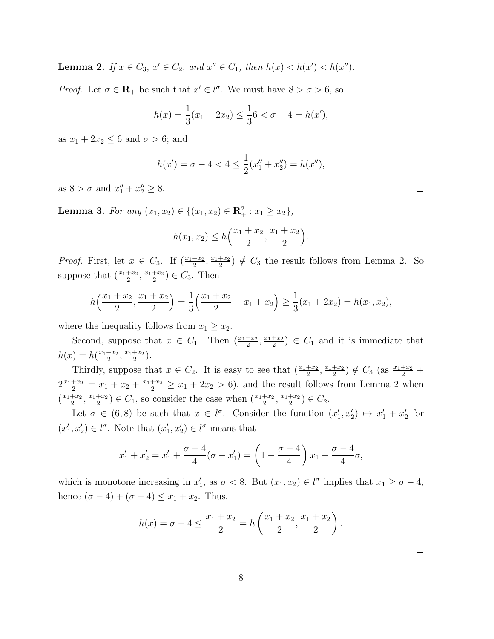**Lemma 2.** If  $x \in C_3$ ,  $x' \in C_2$ , and  $x'' \in C_1$ , then  $h(x) < h(x') < h(x'')$ .

*Proof.* Let  $\sigma \in \mathbb{R}_+$  be such that  $x' \in \ell^{\sigma}$ . We must have  $8 > \sigma > 6$ , so

$$
h(x) = \frac{1}{3}(x_1 + 2x_2) \le \frac{1}{3}6 < \sigma - 4 = h(x'),
$$

as  $x_1 + 2x_2 \leq 6$  and  $\sigma > 6$ ; and

$$
h(x') = \sigma - 4 < 4 \le \frac{1}{2}(x_1'' + x_2'') = h(x''),
$$

as  $8 > \sigma$  and  $x_1'' + x_2'' \ge 8$ .

**Lemma 3.** For any  $(x_1, x_2) \in \{(x_1, x_2) \in \mathbb{R}_+^2 : x_1 \ge x_2\},\$ 

$$
h(x_1, x_2) \le h\left(\frac{x_1 + x_2}{2}, \frac{x_1 + x_2}{2}\right).
$$

*Proof.* First, let  $x \in C_3$ . If  $(\frac{x_1+x_2}{2}, \frac{x_1+x_2}{2})$  $\frac{+x_2}{2}$   $\notin C_3$  the result follows from Lemma 2. So suppose that  $\left(\frac{x_1+x_2}{2}, \frac{x_1+x_2}{2}\right)$  $(\frac{+x_2}{2}) \in C_3$ . Then

$$
h\left(\frac{x_1+x_2}{2},\frac{x_1+x_2}{2}\right) = \frac{1}{3}\left(\frac{x_1+x_2}{2} + x_1 + x_2\right) \ge \frac{1}{3}(x_1 + 2x_2) = h(x_1, x_2),
$$

where the inequality follows from  $x_1 \geq x_2$ .

Second, suppose that  $x \in C_1$ . Then  $\left(\frac{x_1+x_2}{2}, \frac{x_1+x_2}{2}\right)$  $\frac{+x_2}{2}$   $\in C_1$  and it is immediate that  $h(x) = h(\frac{x_1+x_2}{2})$  $\frac{+x_2}{2}, \frac{x_1+x_2}{2}$  $\frac{+x_2}{2}$ .

Thirdly, suppose that  $x \in C_2$ . It is easy to see that  $\left(\frac{x_1+x_2}{2}, \frac{x_1+x_2}{2}\right)$  $(\frac{+x_2}{2}) \notin C_3$  (as  $\frac{x_1+x_2}{2}$  +  $2\frac{x_1+x_2}{2} = x_1 + x_2 + \frac{x_1+x_2}{2} \ge x_1 + 2x_2 > 6$ , and the result follows from Lemma 2 when  $\left(\frac{x_1+x_2}{2}\right)$  $\frac{+x_2}{2}, \frac{x_1+x_2}{2}$  $(\frac{x_1+x_2}{2}) \in C_1$ , so consider the case when  $(\frac{x_1+x_2}{2}, \frac{x_1+x_2}{2})$  $(\frac{+x_2}{2}) \in C_2.$ 

Let  $\sigma \in (6,8)$  be such that  $x \in l^{\sigma}$ . Consider the function  $(x'_1, x'_2) \mapsto x'_1 + x'_2$  for  $(x'_1, x'_2) \in l^{\sigma}$ . Note that  $(x'_1, x'_2) \in l^{\sigma}$  means that

$$
x'_1 + x'_2 = x'_1 + \frac{\sigma - 4}{4}(\sigma - x'_1) = \left(1 - \frac{\sigma - 4}{4}\right)x_1 + \frac{\sigma - 4}{4}\sigma,
$$

which is monotone increasing in  $x'_1$ , as  $\sigma < 8$ . But  $(x_1, x_2) \in l^{\sigma}$  implies that  $x_1 \ge \sigma - 4$ , hence  $(\sigma - 4) + (\sigma - 4) \leq x_1 + x_2$ . Thus,

$$
h(x) = \sigma - 4 \le \frac{x_1 + x_2}{2} = h\left(\frac{x_1 + x_2}{2}, \frac{x_1 + x_2}{2}\right).
$$

 $\Box$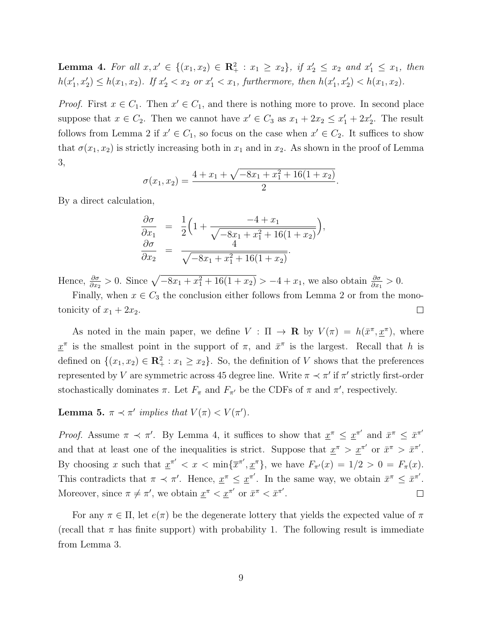**Lemma 4.** For all  $x, x' \in \{(x_1, x_2) \in \mathbb{R}^2_+ : x_1 \ge x_2\}$ , if  $x'_2 \le x_2$  and  $x'_1 \le x_1$ , then  $h(x'_1, x'_2) \leq h(x_1, x_2)$ . If  $x'_2 < x_2$  or  $x'_1 < x_1$ , furthermore, then  $h(x'_1, x'_2) < h(x_1, x_2)$ .

*Proof.* First  $x \in C_1$ . Then  $x' \in C_1$ , and there is nothing more to prove. In second place suppose that  $x \in C_2$ . Then we cannot have  $x' \in C_3$  as  $x_1 + 2x_2 \le x'_1 + 2x'_2$ . The result follows from Lemma 2 if  $x' \in C_1$ , so focus on the case when  $x' \in C_2$ . It suffices to show that  $\sigma(x_1, x_2)$  is strictly increasing both in  $x_1$  and in  $x_2$ . As shown in the proof of Lemma 3,

$$
\sigma(x_1, x_2) = \frac{4 + x_1 + \sqrt{-8x_1 + x_1^2 + 16(1 + x_2)}}{2}.
$$

By a direct calculation,

$$
\frac{\partial \sigma}{\partial x_1} = \frac{1}{2} \left( 1 + \frac{-4 + x_1}{\sqrt{-8x_1 + x_1^2 + 16(1 + x_2)}} \right),\n \frac{\partial \sigma}{\partial x_2} = \frac{4}{\sqrt{-8x_1 + x_1^2 + 16(1 + x_2)}}.
$$

Hence,  $\frac{\partial \sigma}{\partial x_2} > 0$ . Since  $\sqrt{-8x_1 + x_1^2 + 16(1 + x_2)} > -4 + x_1$ , we also obtain  $\frac{\partial \sigma}{\partial x_1} > 0$ .

Finally, when  $x \in C_3$  the conclusion either follows from Lemma 2 or from the monotonicity of  $x_1 + 2x_2$ .  $\Box$ 

As noted in the main paper, we define  $V : \Pi \to \mathbf{R}$  by  $V(\pi) = h(\bar{x}^{\pi}, \underline{x}^{\pi})$ , where  $\underline{x}^{\pi}$  is the smallest point in the support of  $\pi$ , and  $\overline{x}^{\pi}$  is the largest. Recall that h is defined on  $\{(x_1, x_2) \in \mathbb{R}_+^2 : x_1 \geq x_2\}$ . So, the definition of V shows that the preferences represented by V are symmetric across 45 degree line. Write  $\pi \prec \pi'$  if  $\pi'$  strictly first-order stochastically dominates  $\pi$ . Let  $F_{\pi}$  and  $F_{\pi'}$  be the CDFs of  $\pi$  and  $\pi'$ , respectively.

Lemma 5.  $\pi \prec \pi'$  implies that  $V(\pi) < V(\pi')$ .

Proof. Assume  $\pi \prec \pi'$ . By Lemma 4, it suffices to show that  $\underline{x}^{\pi} \leq \underline{x}^{\pi'}$  and  $\overline{x}^{\pi} \leq \overline{x}^{\pi'}$ and that at least one of the inequalities is strict. Suppose that  $\underline{x}^{\pi} > \underline{x}^{\pi'}$  or  $\overline{x}^{\pi} > \overline{x}^{\pi'}$ . By choosing x such that  $\underline{x}^{\pi'} < x < \min{\{\overline{x}^{\pi'}, \underline{x}^{\pi}\}}$ , we have  $F_{\pi'}(x) = 1/2 > 0 = F_{\pi}(x)$ . This contradicts that  $\pi \prec \pi'$ . Hence,  $\underline{x}^{\pi} \leq \underline{x}^{\pi'}$ . In the same way, we obtain  $\overline{x}^{\pi} \leq \overline{x}^{\pi'}$ . Moreover, since  $\pi \neq \pi'$ , we obtain  $\underline{x}^{\pi} < \underline{x}^{\pi'}$  or  $\overline{x}^{\pi} < \overline{x}^{\pi'}$ .  $\Box$ 

For any  $\pi \in \Pi$ , let  $e(\pi)$  be the degenerate lottery that yields the expected value of  $\pi$ (recall that  $\pi$  has finite support) with probability 1. The following result is immediate from Lemma 3.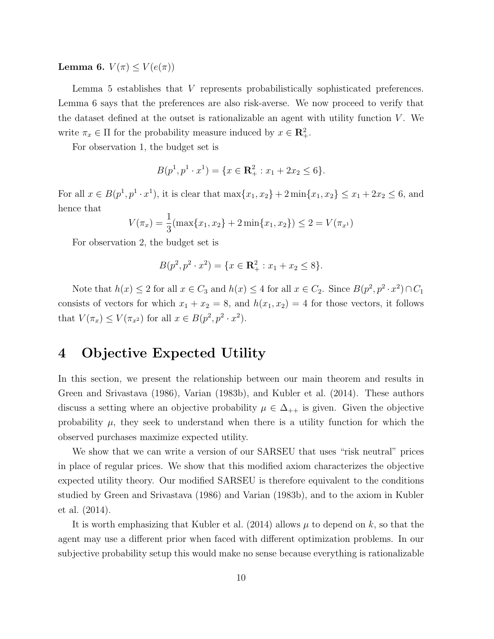Lemma 6.  $V(\pi) \leq V(e(\pi))$ 

Lemma 5 establishes that V represents probabilistically sophisticated preferences. Lemma 6 says that the preferences are also risk-averse. We now proceed to verify that the dataset defined at the outset is rationalizable an agent with utility function  $V$ . We write  $\pi_x \in \Pi$  for the probability measure induced by  $x \in \mathbb{R}^2_+$ .

For observation 1, the budget set is

$$
B(p^1, p^1 \cdot x^1) = \{x \in \mathbf{R}_+^2 : x_1 + 2x_2 \le 6\}.
$$

For all  $x \in B(p^1, p^1 \cdot x^1)$ , it is clear that  $\max\{x_1, x_2\} + 2 \min\{x_1, x_2\} \le x_1 + 2x_2 \le 6$ , and hence that

$$
V(\pi_x) = \frac{1}{3}(\max\{x_1, x_2\} + 2\min\{x_1, x_2\}) \le 2 = V(\pi_{x^1})
$$

For observation 2, the budget set is

$$
B(p^2, p^2 \cdot x^2) = \{x \in \mathbf{R}_+^2 : x_1 + x_2 \le 8\}.
$$

Note that  $h(x) \le 2$  for all  $x \in C_3$  and  $h(x) \le 4$  for all  $x \in C_2$ . Since  $B(p^2, p^2 \cdot x^2) \cap C_1$ consists of vectors for which  $x_1 + x_2 = 8$ , and  $h(x_1, x_2) = 4$  for those vectors, it follows that  $V(\pi_x) \le V(\pi_{x^2})$  for all  $x \in B(p^2, p^2 \cdot x^2)$ .

## 4 Objective Expected Utility

In this section, we present the relationship between our main theorem and results in Green and Srivastava (1986), Varian (1983b), and Kubler et al. (2014). These authors discuss a setting where an objective probability  $\mu \in \Delta_{++}$  is given. Given the objective probability  $\mu$ , they seek to understand when there is a utility function for which the observed purchases maximize expected utility.

We show that we can write a version of our SARSEU that uses "risk neutral" prices in place of regular prices. We show that this modified axiom characterizes the objective expected utility theory. Our modified SARSEU is therefore equivalent to the conditions studied by Green and Srivastava (1986) and Varian (1983b), and to the axiom in Kubler et al. (2014).

It is worth emphasizing that Kubler et al. (2014) allows  $\mu$  to depend on k, so that the agent may use a different prior when faced with different optimization problems. In our subjective probability setup this would make no sense because everything is rationalizable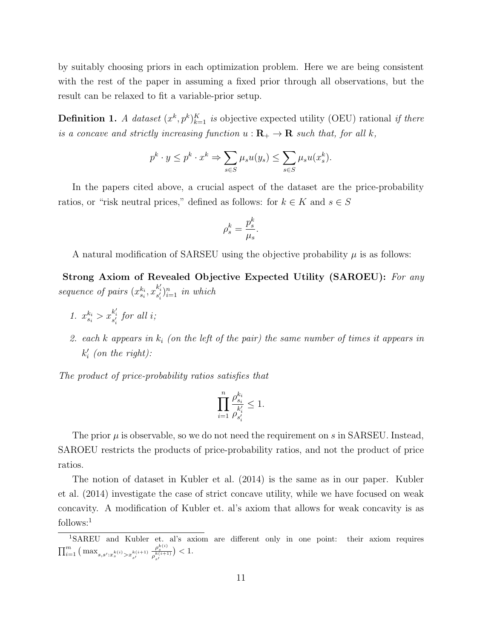by suitably choosing priors in each optimization problem. Here we are being consistent with the rest of the paper in assuming a fixed prior through all observations, but the result can be relaxed to fit a variable-prior setup.

**Definition 1.** A dataset  $(x^k, p^k)_{k=1}^K$  is objective expected utility (OEU) rational if there is a concave and strictly increasing function  $u : \mathbf{R}_{+} \to \mathbf{R}$  such that, for all k,

$$
p^k \cdot y \le p^k \cdot x^k \Rightarrow \sum_{s \in S} \mu_s u(y_s) \le \sum_{s \in S} \mu_s u(x_s^k).
$$

In the papers cited above, a crucial aspect of the dataset are the price-probability ratios, or "risk neutral prices," defined as follows: for  $k \in K$  and  $s \in S$ 

$$
\rho_s^k=\frac{p_s^k}{\mu_s}.
$$

A natural modification of SARSEU using the objective probability  $\mu$  is as follows:

Strong Axiom of Revealed Objective Expected Utility (SAROEU): For any sequence of pairs  $(x_{s_i}^{k_i}, x_{s'_i}^{k'_i})_{i=1}^n$  in which

- 1.  $x_{s_i}^{k_i} > x_{s'_i}^{k'_i}$  for all *i*;
- 2. each  $k$  appears in  $k_i$  (on the left of the pair) the same number of times it appears in  $k_i'$  (on the right):

The product of price-probability ratios satisfies that

$$
\prod_{i=1}^n \frac{\rho^{k_i}_{s_i}}{\rho^{k'_i}_{s'_i}}\leq 1.
$$

The prior  $\mu$  is observable, so we do not need the requirement on s in SARSEU. Instead, SAROEU restricts the products of price-probability ratios, and not the product of price ratios.

The notion of dataset in Kubler et al. (2014) is the same as in our paper. Kubler et al. (2014) investigate the case of strict concave utility, while we have focused on weak concavity. A modification of Kubler et. al's axiom that allows for weak concavity is as follows:<sup>1</sup>

<sup>1</sup>SAREU and Kubler et. al's axiom are different only in one point: their axiom requires  $\prod_{i=1}^m \big( \max_{s,s':x^{k(i)}_s > x^{k(i+1)}_{s'}}$  $\frac{\rho_s^{k(i)}}{\rho_{s'}^{k(i+1)}}$  $) < 1.$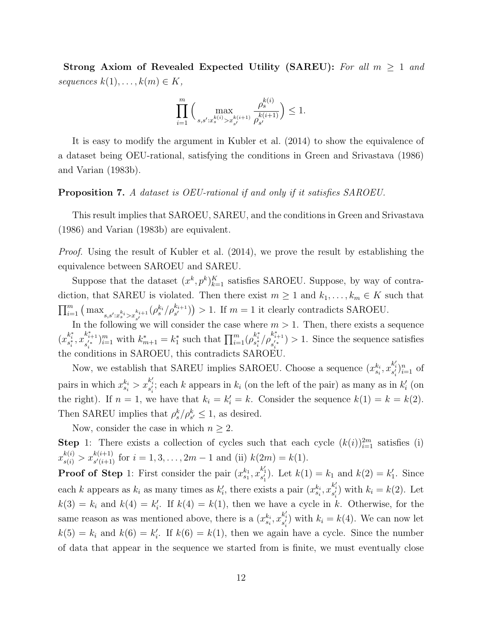Strong Axiom of Revealed Expected Utility (SAREU): For all  $m \geq 1$  and sequences  $k(1), \ldots, k(m) \in K$ ,

$$
\prod_{i=1}^m \Big(\max_{s,s':x^{k(i)}_s>x^{k(i+1)}_{s'}}\frac{\rho_s^{k(i)}}{\rho_{s'}^{k(i+1)}}\Big)\leq 1.
$$

It is easy to modify the argument in Kubler et al. (2014) to show the equivalence of a dataset being OEU-rational, satisfying the conditions in Green and Srivastava (1986) and Varian (1983b).

#### Proposition 7. A dataset is OEU-rational if and only if it satisfies SAROEU.

This result implies that SAROEU, SAREU, and the conditions in Green and Srivastava (1986) and Varian (1983b) are equivalent.

Proof. Using the result of Kubler et al. (2014), we prove the result by establishing the equivalence between SAROEU and SAREU.

Suppose that the dataset  $(x^k, p^k)_{k=1}^K$  satisfies SAROEU. Suppose, by way of contradiction, that SAREU is violated. Then there exist  $m \geq 1$  and  $k_1, \ldots, k_m \in K$  such that  $\prod_{i=1}^m \left( \max_{s,s':x_s^{k_i} > x_{s'}^{k_{i+1}}} (\rho_s^{k_i}/\rho_{s'}^{k_{i+1}}) \right) > 1$ . If  $m = 1$  it clearly contradicts SAROEU.

In the following we will consider the case where  $m > 1$ . Then, there exists a sequence  $(x_{s^*_i}^{k^*_i}, x_{s^{'*}_i}^{k^*_{i+1}})$  $s_{i}^{*+1}$ ) $_{i=1}^{m}$  with  $k_{m+1}^{*} = k_{1}^{*}$  such that  $\prod_{i=1}^{m} (\rho_{s_{i}}^{k_{i}^{*}}/\rho_{s_{i}}^{k_{i+1}^{*}})$  $s_i^{(n+1)}$  > 1. Since the sequence satisfies the conditions in SAROEU, this contradicts SAROEU.

Now, we establish that SAREU implies SAROEU. Choose a sequence  $(x_{s_i}^{k_i}, x_{s'_i}^{k'_i})_{i=1}^n$  of pairs in which  $x_{s_i}^{k_i} > x_{s_i'}^{k_i'}$ ; each k appears in  $k_i$  (on the left of the pair) as many as in  $k_i'$  (on the right). If  $n = 1$ , we have that  $k_i = k'_i = k$ . Consider the sequence  $k(1) = k = k(2)$ . Then SAREU implies that  $\rho_s^k/\rho_{s'}^k \leq 1$ , as desired.

Now, consider the case in which  $n \geq 2$ .

**Step** 1: There exists a collection of cycles such that each cycle  $(k(i))_{i=1}^{2m}$  satisfies (i)  $x_{s(i)}^{k(i)} > x_{s'(i+1)}^{k(i+1)}$  for  $i = 1, 3, ..., 2m - 1$  and (ii)  $k(2m) = k(1)$ .

**Proof of Step** 1: First consider the pair  $(x_{s_1}^{k_1}, x_{s'_1}^{k'_1})$ . Let  $k(1) = k_1$  and  $k(2) = k'_1$ . Since each k appears as  $k_i$  as many times as  $k'_i$ , there exists a pair  $(x_{s_i}^{k_i}, x_{s'_i}^{k'_i})$  with  $k_i = k(2)$ . Let  $k(3) = k_i$  and  $k(4) = k'_i$ . If  $k(4) = k(1)$ , then we have a cycle in k. Otherwise, for the same reason as was mentioned above, there is a  $(x_{s_i}^{k_i}, x_{s'_i}^{k'_i})$  with  $k_i = k(4)$ . We can now let  $k(5) = k_i$  and  $k(6) = k'_i$ . If  $k(6) = k(1)$ , then we again have a cycle. Since the number of data that appear in the sequence we started from is finite, we must eventually close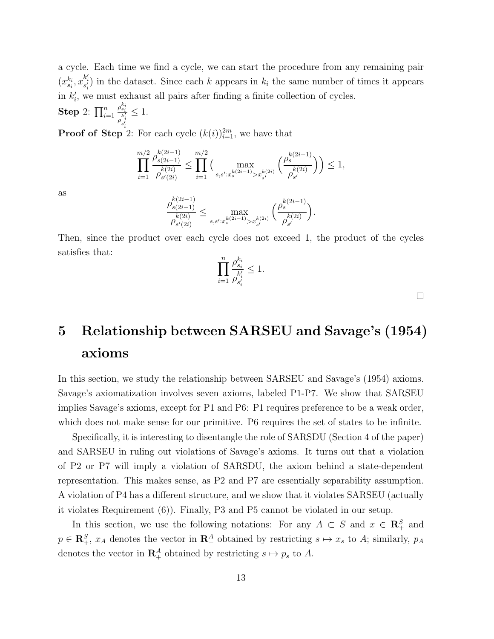a cycle. Each time we find a cycle, we can start the procedure from any remaining pair  $(x_{s_i}^{k_i}, x_{s'_i}^{k'_i})$  in the dataset. Since each k appears in  $k_i$  the same number of times it appears in  $k_i'$ , we must exhaust all pairs after finding a finite collection of cycles.

Step 2:  $\prod_{i=1}^n$  $\rho_{s_i}^{k_i}$  $\overline{\rho_{s'_i}^{k'_i}}$  $\leq 1$ .

**Proof of Step**<sup>2</sup>: For each cycle  $(k(i))_{i=1}^{2m}$ , we have that

$$
\prod_{i=1}^{m/2} \frac{\rho_{s(2i-1)}^{k(2i-1)}}{\rho_{s'(2i)}^{k(2i)}} \le \prod_{i=1}^{m/2} \Big( \max_{s,s':x_s^{k(2i-1)} > x_{s'}^{k(2i)}} \Big( \frac{\rho_s^{k(2i-1)}}{\rho_{s'}^{k(2i)}} \Big) \Big) \le 1,
$$

as

$$
\frac{\rho_{s(2i-1)}^{k(2i-1)}}{\rho_{s'(2i)}^{k(2i)}}\leq \max_{s,s':x^{k(2i-1)}_s>x^{k(2i)}_{s'}}\Big(\frac{\rho_{s}^{k(2i-1)}}{\rho_{s'}^{k(2i)}}\Big).
$$

Then, since the product over each cycle does not exceed 1, the product of the cycles satisfies that:

$$
\prod_{i=1}^n \frac{\rho^{k_i}_{s_i}}{\rho^{k'_i}_{s'_i}}\leq 1.
$$

 $\Box$ 

# 5 Relationship between SARSEU and Savage's (1954) axioms

In this section, we study the relationship between SARSEU and Savage's (1954) axioms. Savage's axiomatization involves seven axioms, labeled P1-P7. We show that SARSEU implies Savage's axioms, except for P1 and P6: P1 requires preference to be a weak order, which does not make sense for our primitive. P6 requires the set of states to be infinite.

Specifically, it is interesting to disentangle the role of SARSDU (Section 4 of the paper) and SARSEU in ruling out violations of Savage's axioms. It turns out that a violation of P2 or P7 will imply a violation of SARSDU, the axiom behind a state-dependent representation. This makes sense, as P2 and P7 are essentially separability assumption. A violation of P4 has a different structure, and we show that it violates SARSEU (actually it violates Requirement (6)). Finally, P3 and P5 cannot be violated in our setup.

In this section, we use the following notations: For any  $A \subset S$  and  $x \in \mathbb{R}^S_+$  and  $p \in \mathbb{R}^S_+$ ,  $x_A$  denotes the vector in  $\mathbb{R}^A_+$  obtained by restricting  $s \mapsto x_s$  to A; similarly,  $p_A$ denotes the vector in  $\mathbb{R}^A_+$  obtained by restricting  $s \mapsto p_s$  to A.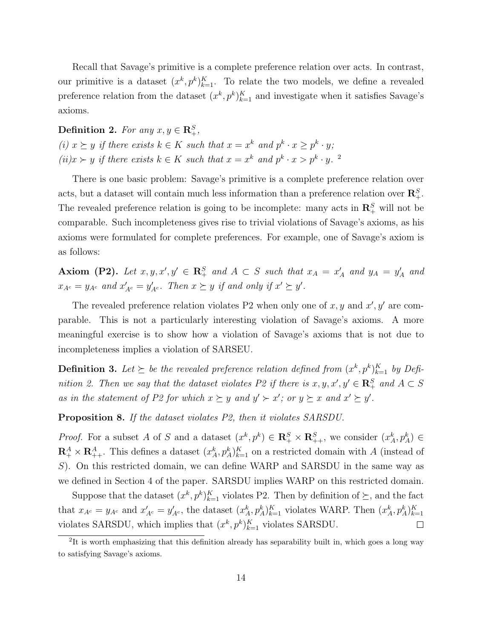Recall that Savage's primitive is a complete preference relation over acts. In contrast, our primitive is a dataset  $(x^k, p^k)_{k=1}^K$ . To relate the two models, we define a revealed preference relation from the dataset  $(x^k, p^k)_{k=1}^K$  and investigate when it satisfies Savage's axioms.

Definition 2. For any  $x, y \in \mathbb{R}^S_+$ , (i)  $x \succeq y$  if there exists  $k \in K$  such that  $x = x^k$  and  $p^k \cdot x \geq p^k \cdot y$ ;  $(ii)x \succ y$  if there exists  $k \in K$  such that  $x = x^k$  and  $p^k \cdot x > p^k \cdot y$ .

There is one basic problem: Savage's primitive is a complete preference relation over acts, but a dataset will contain much less information than a preference relation over  $\mathbb{R}^S_+$ . The revealed preference relation is going to be incomplete: many acts in  $\mathbb{R}^S_+$  will not be comparable. Such incompleteness gives rise to trivial violations of Savage's axioms, as his axioms were formulated for complete preferences. For example, one of Savage's axiom is as follows:

Axiom (P2). Let  $x, y, x', y' \in \mathbb{R}^S_+$  and  $A \subset S$  such that  $x_A = x'_A$  and  $y_A = y'_A$  and  $x_{A^c} = y_{A^c}$  and  $x'_{A^c} = y'_{A^c}$ . Then  $x \succeq y$  if and only if  $x' \succeq y'$ .

The revealed preference relation violates P2 when only one of  $x, y$  and  $x', y'$  are comparable. This is not a particularly interesting violation of Savage's axioms. A more meaningful exercise is to show how a violation of Savage's axioms that is not due to incompleteness implies a violation of SARSEU.

**Definition 3.** Let  $\succeq$  be the revealed preference relation defined from  $(x^k, p^k)_{k=1}^K$  by Definition 2. Then we say that the dataset violates P2 if there is  $x, y, x', y' \in \mathbb{R}_+^S$  and  $A \subset S$ as in the statement of P2 for which  $x \succeq y$  and  $y' \succ x'$ ; or  $y \succeq x$  and  $x' \succeq y'$ .

Proposition 8. If the dataset violates P2, then it violates SARSDU.

*Proof.* For a subset A of S and a dataset  $(x^k, p^k) \in \mathbb{R}_+^S \times \mathbb{R}_{++}^S$ , we consider  $(x^k_A, p^k_A) \in$  $\mathbf{R}^A_+ \times \mathbf{R}^A_{++}$ . This defines a dataset  $(x_A^k, p_A^k)_{k=1}^K$  on a restricted domain with A (instead of S). On this restricted domain, we can define WARP and SARSDU in the same way as we defined in Section 4 of the paper. SARSDU implies WARP on this restricted domain.

Suppose that the dataset  $(x^k, p^k)_{k=1}^K$  violates P2. Then by definition of  $\succeq$ , and the fact that  $x_{A^c} = y_{A^c}$  and  $x'_{A^c} = y'_{A^c}$ , the dataset  $(x_A^k, p_A^k)_{k=1}^K$  violates WARP. Then  $(x_A^k, p_A^k)_{k=1}^K$ violates SARSDU, which implies that  $(x^k, p^k)_{k=1}^K$  violates SARSDU.  $\Box$ 

<sup>&</sup>lt;sup>2</sup>It is worth emphasizing that this definition already has separability built in, which goes a long way to satisfying Savage's axioms.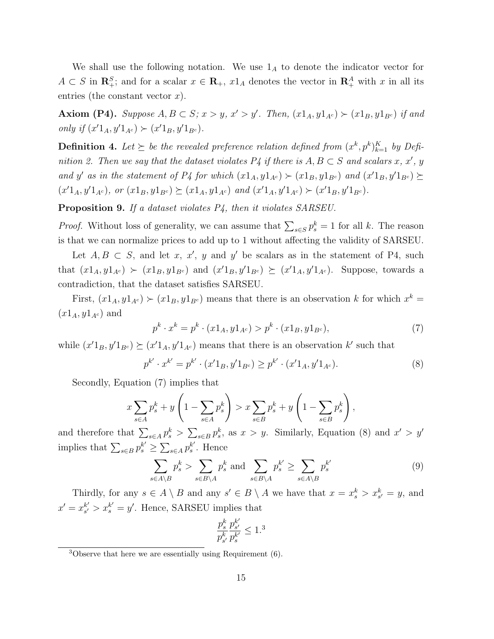We shall use the following notation. We use  $1_A$  to denote the indicator vector for  $A \subset S$  in  $\mathbb{R}^S_+$ ; and for a scalar  $x \in \mathbb{R}_+$ ,  $x1_A$  denotes the vector in  $\mathbb{R}^A_+$  with x in all its entries (the constant vector  $x$ ).

Axiom (P4). Suppose  $A, B \subset S$ ;  $x > y$ ,  $x' > y'$ . Then,  $(x1_A, y1_{A^c}) \succ (x1_B, y1_{B^c})$  if and only if  $(x'1_A, y'1_{A^c}) \succ (x'1_B, y'1_{B^c})$ .

**Definition 4.** Let  $\succeq$  be the revealed preference relation defined from  $(x^k, p^k)_{k=1}^K$  by Definition 2. Then we say that the dataset violates  $P_4$  if there is  $A, B \subset S$  and scalars x, x', y and y' as in the statement of P4 for which  $(x1_A, y1_{A^c}) \succ (x1_B, y1_{B^c})$  and  $(x'1_B, y'1_{B^c}) \succeq$  $(x'1_A, y'1_{A^c})$ , or  $(x1_B, y1_{B^c}) \succeq (x1_A, y1_{A^c})$  and  $(x'1_A, y'1_{A^c}) \succ (x'1_B, y'1_{B^c})$ .

Proposition 9. If a dataset violates  $P_4$ , then it violates SARSEU.

*Proof.* Without loss of generality, we can assume that  $\sum_{s \in S} p_s^k = 1$  for all k. The reason is that we can normalize prices to add up to 1 without affecting the validity of SARSEU.

Let  $A, B \subset S$ , and let x, x', y and y' be scalars as in the statement of P4, such that  $(x1_A, y1_{A^c}) \succ (x1_B, y1_{B^c})$  and  $(x'1_B, y'1_{B^c}) \succeq (x'1_A, y'1_{A^c})$ . Suppose, towards a contradiction, that the dataset satisfies SARSEU.

First,  $(x1_A, y1_{A^c}) \succ (x1_B, y1_{B^c})$  means that there is an observation k for which  $x^k =$  $(x1_A, y1_{A^c})$  and

$$
p^{k} \cdot x^{k} = p^{k} \cdot (x 1_{A}, y 1_{A^{c}}) > p^{k} \cdot (x 1_{B}, y 1_{B^{c}}),
$$
\n<sup>(7)</sup>

while  $(x'1_B, y'1_{B^c}) \succeq (x'1_A, y'1_{A^c})$  means that there is an observation k' such that

$$
p^{k'} \cdot x^{k'} = p^{k'} \cdot (x'1_B, y'1_{B^c}) \ge p^{k'} \cdot (x'1_A, y'1_{A^c}). \tag{8}
$$

Secondly, Equation (7) implies that

$$
x\sum_{s\in A}p_s^k + y\left(1 - \sum_{s\in A}p_s^k\right) > x\sum_{s\in B}p_s^k + y\left(1 - \sum_{s\in B}p_s^k\right),
$$

and therefore that  $\sum_{s\in A} p_s^k > \sum_{s\in B} p_s^k$ , as  $x > y$ . Similarly, Equation (8) and  $x' > y'$ implies that  $\sum_{s \in B} p_s^{k'} \geq \sum_{s \in A} p_s^{k'}$  $s<sup>k'</sup>$ . Hence

$$
\sum_{s \in A \setminus B} p_s^k > \sum_{s \in B \setminus A} p_s^k \text{ and } \sum_{s \in B \setminus A} p_s^{k'} \ge \sum_{s \in A \setminus B} p_s^{k'} \tag{9}
$$

Thirdly, for any  $s \in A \setminus B$  and any  $s' \in B \setminus A$  we have that  $x = x_s^k > x_{s'}^k = y$ , and  $x' = x_{s'}^{k'}$  $s'_{s'} > x_s^{k'} = y'$ . Hence, SARSEU implies that

$$
\frac{p_s^k}{p_{s'}^k}\frac{p_{s'}^{k'}}{p_{s}^{k'}}\leq 1.^
$$

 $3$ Observe that here we are essentially using Requirement  $(6)$ .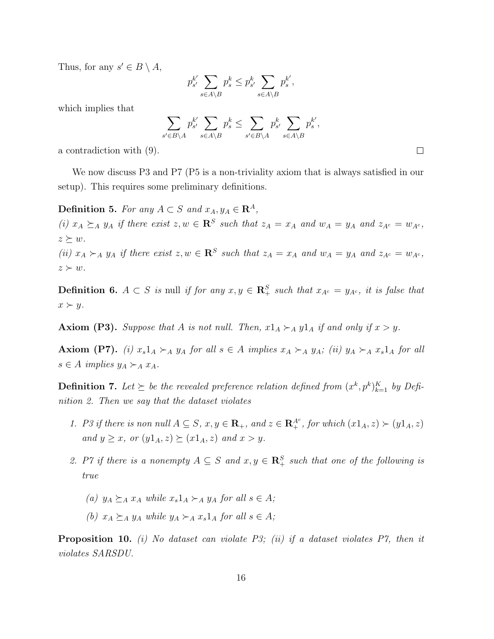Thus, for any  $s' \in B \setminus A$ ,

$$
p_{s'}^{k'} \sum_{s \in A \setminus B} p_s^k \le p_{s'}^k \sum_{s \in A \setminus B} p_s^{k'},
$$

which implies that

$$
\sum_{s' \in B \backslash A} p_{s'}^{k'} \sum_{s \in A \backslash B} p_s^k \le \sum_{s' \in B \backslash A} p_{s'}^k \sum_{s \in A \backslash B} p_s^{k'},
$$

a contradiction with (9).

We now discuss P3 and P7 (P5 is a non-triviality axiom that is always satisfied in our setup). This requires some preliminary definitions.

Definition 5. For any  $A \subset S$  and  $x_A, y_A \in \mathbf{R}^A$ ,

(i)  $x_A \succeq_A y_A$  if there exist  $z, w \in \mathbb{R}^S$  such that  $z_A = x_A$  and  $w_A = y_A$  and  $z_{A^c} = w_{A^c}$ ,  $z \succeq w$ .

(ii)  $x_A \succ_A y_A$  if there exist  $z, w \in \mathbb{R}^S$  such that  $z_A = x_A$  and  $w_A = y_A$  and  $z_{A^c} = w_{A^c}$ ,  $z \succ w$ .

**Definition 6.**  $A \subset S$  is null if for any  $x, y \in \mathbb{R}^S_+$  such that  $x_{A^c} = y_{A^c}$ , it is false that  $x \succ y$ .

**Axiom (P3).** Suppose that A is not null. Then,  $x1_A \succ_A y1_A$  if and only if  $x > y$ .

Axiom (P7). (i)  $x_s1_A \succ_A y_A$  for all  $s \in A$  implies  $x_A \succ_A y_A$ ; (ii)  $y_A \succ_A x_s1_A$  for all  $s \in A$  implies  $y_A \succ_A x_A$ .

**Definition 7.** Let  $\succeq$  be the revealed preference relation defined from  $(x^k, p^k)_{k=1}^K$  by Definition 2. Then we say that the dataset violates

- 1. P3 if there is non null  $A \subseteq S$ ,  $x, y \in \mathbf{R}_+$ , and  $z \in \mathbf{R}_+^{A^c}$ , for which  $(x1_A, z) \succ (y1_A, z)$ and  $y \geq x$ , or  $(y1_A, z) \geq (x1_A, z)$  and  $x > y$ .
- 2. P7 if there is a nonempty  $A \subseteq S$  and  $x, y \in \mathbb{R}_+^S$  such that one of the following is true
	- (a)  $y_A \succeq_A x_A$  while  $x_s1_A \succeq_A y_A$  for all  $s \in A$ ;
	- (b)  $x_A \succeq_A y_A$  while  $y_A \succeq_A x_s1_A$  for all  $s \in A$ ;

**Proposition 10.** (i) No dataset can violate P3; (ii) if a dataset violates P7, then it violates SARSDU.

 $\Box$